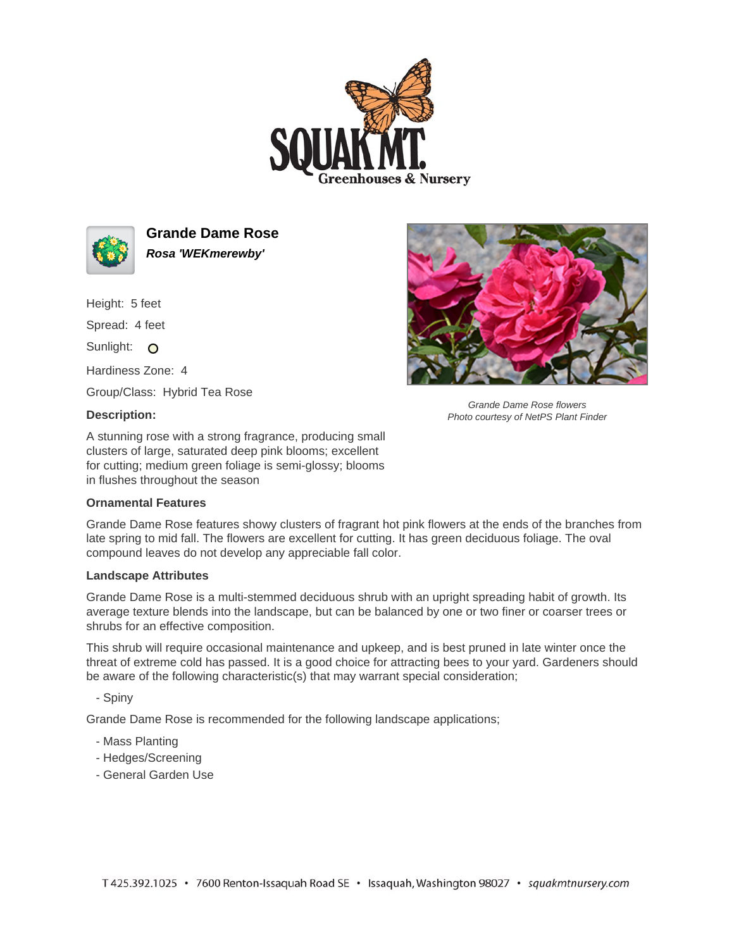



**Grande Dame Rose Rosa 'WEKmerewby'**

Height: 5 feet Spread: 4 feet

Sunlight: O

Hardiness Zone: 4

Group/Class: Hybrid Tea Rose

## **Description:**

A stunning rose with a strong fragrance, producing small clusters of large, saturated deep pink blooms; excellent for cutting; medium green foliage is semi-glossy; blooms in flushes throughout the season

## **Ornamental Features**

Grande Dame Rose features showy clusters of fragrant hot pink flowers at the ends of the branches from late spring to mid fall. The flowers are excellent for cutting. It has green deciduous foliage. The oval compound leaves do not develop any appreciable fall color.

## **Landscape Attributes**

Grande Dame Rose is a multi-stemmed deciduous shrub with an upright spreading habit of growth. Its average texture blends into the landscape, but can be balanced by one or two finer or coarser trees or shrubs for an effective composition.

This shrub will require occasional maintenance and upkeep, and is best pruned in late winter once the threat of extreme cold has passed. It is a good choice for attracting bees to your yard. Gardeners should be aware of the following characteristic(s) that may warrant special consideration;

- Spiny

Grande Dame Rose is recommended for the following landscape applications;

- Mass Planting
- Hedges/Screening
- General Garden Use



Grande Dame Rose flowers Photo courtesy of NetPS Plant Finder